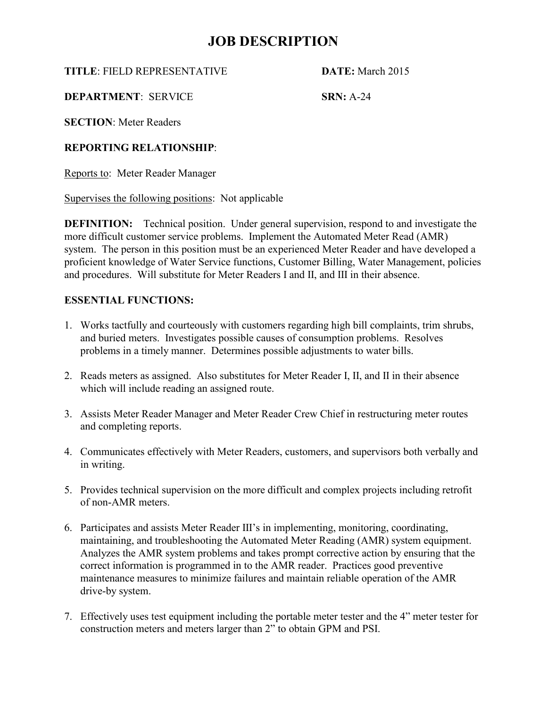## **JOB DESCRIPTION**

**TITLE**: FIELD REPRESENTATIVE **DATE:** March 2015

**DEPARTMENT: SERVICE SRN: A-24** 

**SECTION**: Meter Readers

## **REPORTING RELATIONSHIP**:

Reports to: Meter Reader Manager

Supervises the following positions: Not applicable

**DEFINITION:** Technical position. Under general supervision, respond to and investigate the more difficult customer service problems. Implement the Automated Meter Read (AMR) system. The person in this position must be an experienced Meter Reader and have developed a proficient knowledge of Water Service functions, Customer Billing, Water Management, policies and procedures. Will substitute for Meter Readers I and II, and III in their absence.

### **ESSENTIAL FUNCTIONS:**

- 1. Works tactfully and courteously with customers regarding high bill complaints, trim shrubs, and buried meters. Investigates possible causes of consumption problems. Resolves problems in a timely manner. Determines possible adjustments to water bills.
- 2. Reads meters as assigned. Also substitutes for Meter Reader I, II, and II in their absence which will include reading an assigned route.
- 3. Assists Meter Reader Manager and Meter Reader Crew Chief in restructuring meter routes and completing reports.
- 4. Communicates effectively with Meter Readers, customers, and supervisors both verbally and in writing.
- 5. Provides technical supervision on the more difficult and complex projects including retrofit of non-AMR meters.
- 6. Participates and assists Meter Reader III's in implementing, monitoring, coordinating, maintaining, and troubleshooting the Automated Meter Reading (AMR) system equipment. Analyzes the AMR system problems and takes prompt corrective action by ensuring that the correct information is programmed in to the AMR reader. Practices good preventive maintenance measures to minimize failures and maintain reliable operation of the AMR drive-by system.
- 7. Effectively uses test equipment including the portable meter tester and the 4" meter tester for construction meters and meters larger than 2" to obtain GPM and PSI.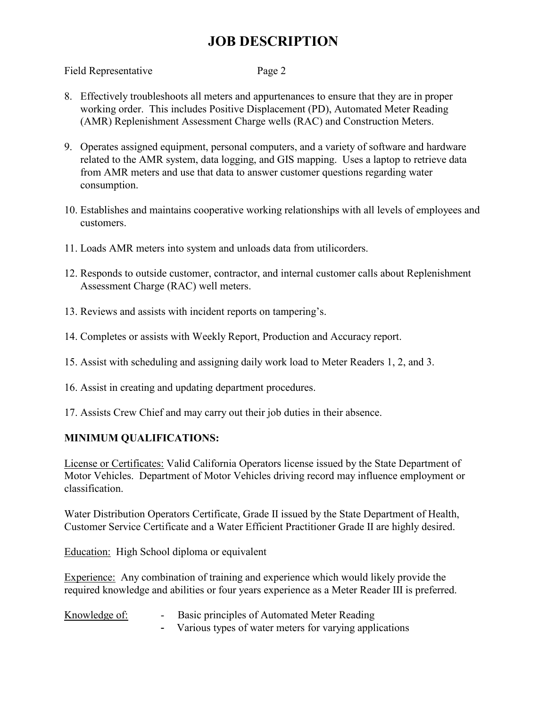# **JOB DESCRIPTION**

#### Field Representative Page 2

- 8. Effectively troubleshoots all meters and appurtenances to ensure that they are in proper working order. This includes Positive Displacement (PD), Automated Meter Reading (AMR) Replenishment Assessment Charge wells (RAC) and Construction Meters.
- 9. Operates assigned equipment, personal computers, and a variety of software and hardware related to the AMR system, data logging, and GIS mapping. Uses a laptop to retrieve data from AMR meters and use that data to answer customer questions regarding water consumption.
- 10. Establishes and maintains cooperative working relationships with all levels of employees and customers.
- 11. Loads AMR meters into system and unloads data from utilicorders.
- 12. Responds to outside customer, contractor, and internal customer calls about Replenishment Assessment Charge (RAC) well meters.
- 13. Reviews and assists with incident reports on tampering's.
- 14. Completes or assists with Weekly Report, Production and Accuracy report.
- 15. Assist with scheduling and assigning daily work load to Meter Readers 1, 2, and 3.
- 16. Assist in creating and updating department procedures.
- 17. Assists Crew Chief and may carry out their job duties in their absence.

## **MINIMUM QUALIFICATIONS:**

License or Certificates: Valid California Operators license issued by the State Department of Motor Vehicles. Department of Motor Vehicles driving record may influence employment or classification.

Water Distribution Operators Certificate, Grade II issued by the State Department of Health, Customer Service Certificate and a Water Efficient Practitioner Grade II are highly desired.

Education: High School diploma or equivalent

Experience: Any combination of training and experience which would likely provide the required knowledge and abilities or four years experience as a Meter Reader III is preferred.

Knowledge of: Basic principles of Automated Meter Reading - Various types of water meters for varying applications